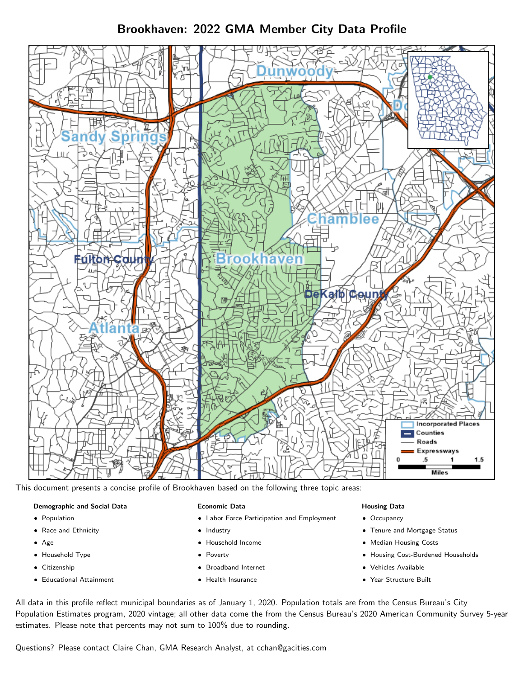# Brookhaven: 2022 GMA Member City Data Profile



This document presents a concise profile of Brookhaven based on the following three topic areas:

#### Demographic and Social Data

- **•** Population
- Race and Ethnicity
- Age
- Household Type
- **Citizenship**
- Educational Attainment

#### Economic Data

- Labor Force Participation and Employment
- Industry
- Household Income
- Poverty
- Broadband Internet
- Health Insurance

### Housing Data

- Occupancy
- Tenure and Mortgage Status
- Median Housing Costs
- Housing Cost-Burdened Households
- Vehicles Available
- Year Structure Built

All data in this profile reflect municipal boundaries as of January 1, 2020. Population totals are from the Census Bureau's City Population Estimates program, 2020 vintage; all other data come the from the Census Bureau's 2020 American Community Survey 5-year estimates. Please note that percents may not sum to 100% due to rounding.

Questions? Please contact Claire Chan, GMA Research Analyst, at [cchan@gacities.com.](mailto:cchan@gacities.com)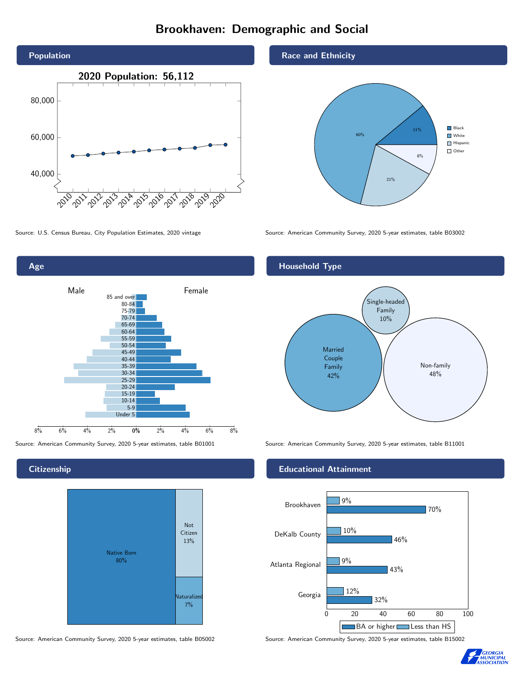# Brookhaven: Demographic and Social





### **Citizenship**



Source: American Community Survey, 2020 5-year estimates, table B05002 Source: American Community Survey, 2020 5-year estimates, table B15002

### Race and Ethnicity



Source: U.S. Census Bureau, City Population Estimates, 2020 vintage Source: American Community Survey, 2020 5-year estimates, table B03002

## Household Type



Source: American Community Survey, 2020 5-year estimates, table B01001 Source: American Community Survey, 2020 5-year estimates, table B11001

### Educational Attainment



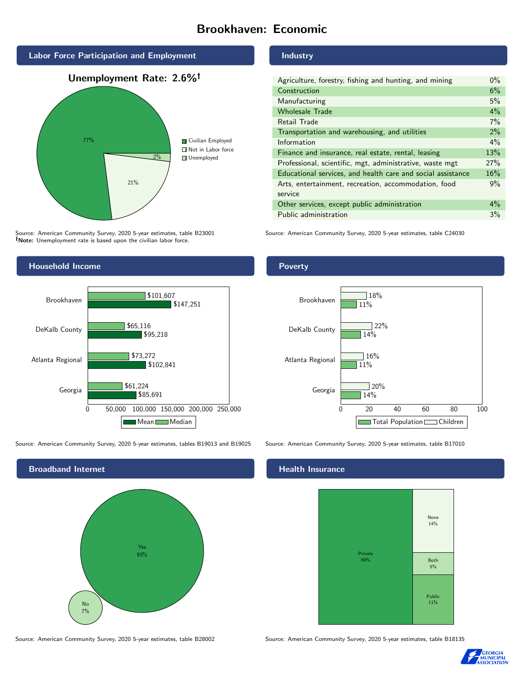# Brookhaven: Economic



Source: American Community Survey, 2020 5-year estimates, table B23001 Note: Unemployment rate is based upon the civilian labor force.



Source: American Community Survey, 2020 5-year estimates, tables B19013 and B19025 Source: American Community Survey, 2020 5-year estimates, table B17010



Source: American Community Survey, 2020 5-year estimates, table B28002 Source: American Community Survey, 2020 5-year estimates, table B18135

#### Industry

| Agriculture, forestry, fishing and hunting, and mining      | $0\%$ |
|-------------------------------------------------------------|-------|
| Construction                                                | 6%    |
| Manufacturing                                               | 5%    |
| <b>Wholesale Trade</b>                                      | 4%    |
| Retail Trade                                                | 7%    |
| Transportation and warehousing, and utilities               | 2%    |
| Information                                                 | $4\%$ |
| Finance and insurance, real estate, rental, leasing         | 13%   |
| Professional, scientific, mgt, administrative, waste mgt    | 27%   |
| Educational services, and health care and social assistance | 16%   |
| Arts, entertainment, recreation, accommodation, food        | 9%    |
| service                                                     |       |
| Other services, except public administration                | $4\%$ |
| Public administration                                       | 3%    |

Source: American Community Survey, 2020 5-year estimates, table C24030

### Poverty



## **Health Insurance**